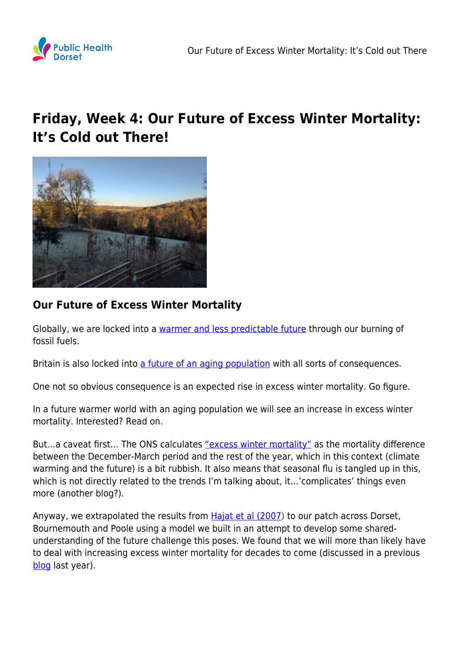

## **Friday, Week 4: Our Future of Excess Winter Mortality: It's Cold out There!**



## **Our Future of Excess Winter Mortality**

Globally, we are locked into a [warmer and less predictable future](https://scied.ucar.edu/longcontent/predictions-future-global-climate) through our burning of fossil fuels.

Britain is also locked into [a future of an aging population](https://www.ons.gov.uk/peoplepopulationandcommunity/populationandmigration/populationestimates/articles/overviewoftheukpopulation/july2017) with all sorts of consequences.

One not so obvious consequence is an expected rise in excess winter mortality. Go figure.

In a future warmer world with an aging population we will see an increase in excess winter mortality. Interested? Read on.

But...a caveat first... The ONS calculates ["excess winter mortality"](https://www.ons.gov.uk/peoplepopulationandcommunity/birthsdeathsandmarriages/deaths/bulletins/excesswintermortalityinenglandandwales/2017to2018provisionaland2016to2017final) as the mortality difference between the December-March period and the rest of the year, which in this context (climate warming and the future) is a bit rubbish. It also means that seasonal flu is tangled up in this, which is not directly related to the trends I'm talking about, it…'complicates' things even more (another blog?).

Anyway, we extrapolated the results from **Hajat et al (2007)** to our patch across Dorset, Bournemouth and Poole using a model we built in an attempt to develop some sharedunderstanding of the future challenge this poses. We found that we will more than likely have to deal with increasing excess winter mortality for decades to come (discussed in a previous [blog](https://www.publichealthdorset.org.uk/7235-2/) last year).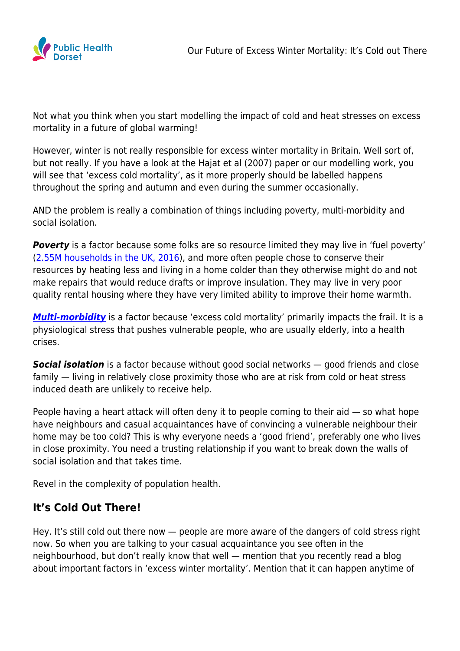

Not what you think when you start modelling the impact of cold and heat stresses on excess mortality in a future of global warming!

However, winter is not really responsible for excess winter mortality in Britain. Well sort of, but not really. If you have a look at the Hajat et al (2007) paper or our modelling work, you will see that 'excess cold mortality', as it more properly should be labelled happens throughout the spring and autumn and even during the summer occasionally.

AND the problem is really a combination of things including poverty, multi-morbidity and social isolation.

**Poverty** is a factor because some folks are so resource limited they may live in 'fuel poverty' ([2.55M households in the UK, 2016](https://assets.publishing.service.gov.uk/government/uploads/system/uploads/attachment_data/file/719106/Fuel_Poverty_Statistics_Report_2018.pdf)), and more often people chose to conserve their resources by heating less and living in a home colder than they otherwise might do and not make repairs that would reduce drafts or improve insulation. They may live in very poor quality rental housing where they have very limited ability to improve their home warmth.

*[Multi-morbidity](https://www.kingsfund.org.uk/projects/time-think-differently/trends-disease-and-disability-long-term-conditions-multi-morbidity)* is a factor because 'excess cold mortality' primarily impacts the frail. It is a physiological stress that pushes vulnerable people, who are usually elderly, into a health crises.

**Social isolation** is a factor because without good social networks – good friends and close family — living in relatively close proximity those who are at risk from cold or heat stress induced death are unlikely to receive help.

People having a heart attack will often deny it to people coming to their aid — so what hope have neighbours and casual acquaintances have of convincing a vulnerable neighbour their home may be too cold? This is why everyone needs a 'good friend', preferably one who lives in close proximity. You need a trusting relationship if you want to break down the walls of social isolation and that takes time.

Revel in the complexity of population health.

## **It's Cold Out There!**

Hey. It's still cold out there now — people are more aware of the dangers of cold stress right now. So when you are talking to your casual acquaintance you see often in the neighbourhood, but don't really know that well — mention that you recently read a blog about important factors in 'excess winter mortality'. Mention that it can happen anytime of